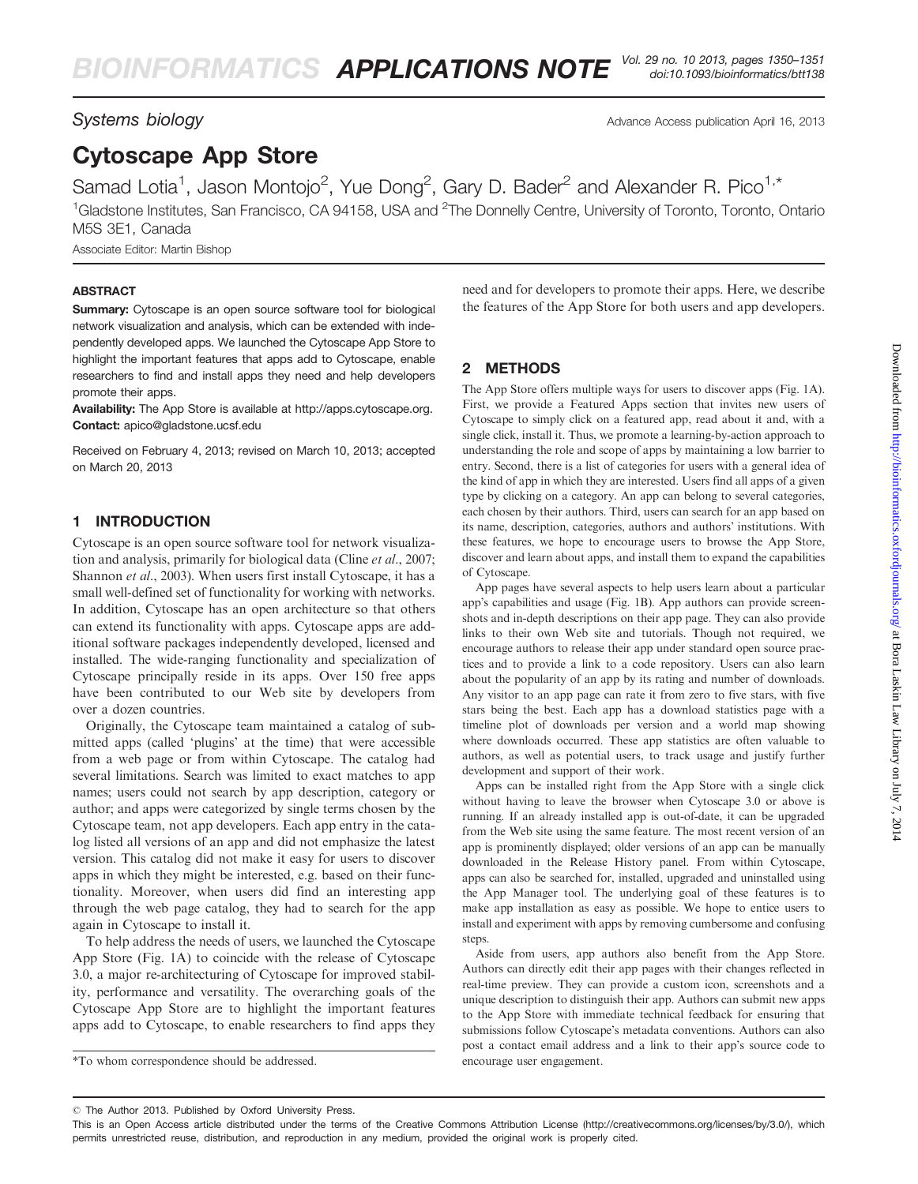Systems biology **Advance Access publication April 16, 2013** Advance Access publication April 16, 2013

# Cytoscape App Store

Samad Lotia<sup>1</sup>, Jason Montojo<sup>2</sup>, Yue Dong<sup>2</sup>, Gary D. Bader<sup>2</sup> and Alexander R. Pico<sup>1,\*</sup> <sup>1</sup>Gladstone Institutes, San Francisco, CA 94158, USA and <sup>2</sup>The Donnelly Centre, University of Toronto, Toronto, Ontario M5S 3E1, Canada

Associate Editor: Martin Bishop

#### **ABSTRACT**

Summary: Cytoscape is an open source software tool for biological network visualization and analysis, which can be extended with independently developed apps. We launched the Cytoscape App Store to highlight the important features that apps add to Cytoscape, enable researchers to find and install apps they need and help developers promote their apps.

Availability: The App Store is available at [http://apps.cytoscape.org.](http://apps.cytoscape.org) Contact: apico@gladstone.ucsf.edu

Received on February 4, 2013; revised on March 10, 2013; accepted on March 20, 2013

# 1 INTRODUCTION

Cytoscape is an open source software tool for network visualization and analysis, primarily for biological data (Cline et al[., 2007](#page-1-0); [Shannon](#page-1-0) et al., 2003). When users first install Cytoscape, it has a small well-defined set of functionality for working with networks. In addition, Cytoscape has an open architecture so that others can extend its functionality with apps. Cytoscape apps are additional software packages independently developed, licensed and installed. The wide-ranging functionality and specialization of Cytoscape principally reside in its apps. Over 150 free apps have been contributed to our Web site by developers from over a dozen countries.

Originally, the Cytoscape team maintained a catalog of submitted apps (called 'plugins' at the time) that were accessible from a web page or from within Cytoscape. The catalog had several limitations. Search was limited to exact matches to app names; users could not search by app description, category or author; and apps were categorized by single terms chosen by the Cytoscape team, not app developers. Each app entry in the catalog listed all versions of an app and did not emphasize the latest version. This catalog did not make it easy for users to discover apps in which they might be interested, e.g. based on their functionality. Moreover, when users did find an interesting app through the web page catalog, they had to search for the app again in Cytoscape to install it.

To help address the needs of users, we launched the Cytoscape App Store ([Fig. 1A](#page-1-0)) to coincide with the release of Cytoscape 3.0, a major re-architecturing of Cytoscape for improved stability, performance and versatility. The overarching goals of the Cytoscape App Store are to highlight the important features apps add to Cytoscape, to enable researchers to find apps they

need and for developers to promote their apps. Here, we describe the features of the App Store for both users and app developers.

# 2 METHODS

The App Store offers multiple ways for users to discover apps [\(Fig. 1A](#page-1-0)). First, we provide a Featured Apps section that invites new users of Cytoscape to simply click on a featured app, read about it and, with a single click, install it. Thus, we promote a learning-by-action approach to understanding the role and scope of apps by maintaining a low barrier to entry. Second, there is a list of categories for users with a general idea of the kind of app in which they are interested. Users find all apps of a given type by clicking on a category. An app can belong to several categories, each chosen by their authors. Third, users can search for an app based on its name, description, categories, authors and authors' institutions. With these features, we hope to encourage users to browse the App Store, discover and learn about apps, and install them to expand the capabilities of Cytoscape.

App pages have several aspects to help users learn about a particular app's capabilities and usage [\(Fig. 1](#page-1-0)B). App authors can provide screenshots and in-depth descriptions on their app page. They can also provide links to their own Web site and tutorials. Though not required, we encourage authors to release their app under standard open source practices and to provide a link to a code repository. Users can also learn about the popularity of an app by its rating and number of downloads. Any visitor to an app page can rate it from zero to five stars, with five stars being the best. Each app has a download statistics page with a timeline plot of downloads per version and a world map showing where downloads occurred. These app statistics are often valuable to authors, as well as potential users, to track usage and justify further development and support of their work.

Apps can be installed right from the App Store with a single click without having to leave the browser when Cytoscape 3.0 or above is running. If an already installed app is out-of-date, it can be upgraded from the Web site using the same feature. The most recent version of an app is prominently displayed; older versions of an app can be manually downloaded in the Release History panel. From within Cytoscape, apps can also be searched for, installed, upgraded and uninstalled using the App Manager tool. The underlying goal of these features is to make app installation as easy as possible. We hope to entice users to install and experiment with apps by removing cumbersome and confusing steps.

Aside from users, app authors also benefit from the App Store. Authors can directly edit their app pages with their changes reflected in real-time preview. They can provide a custom icon, screenshots and a unique description to distinguish their app. Authors can submit new apps to the App Store with immediate technical feedback for ensuring that submissions follow Cytoscape's metadata conventions. Authors can also post a contact email address and a link to their app's source code to

<sup>\*</sup>To whom correspondence should be addressed. encourage user engagement.

<sup>-</sup> The Author 2013. Published by Oxford University Press.

This is an Open Access article distributed under the terms of the Creative Commons Attribution License (http://creativecommons.org/licenses/by/3.0/), which permits unrestricted reuse, distribution, and reproduction in any medium, provided the original work is properly cited.